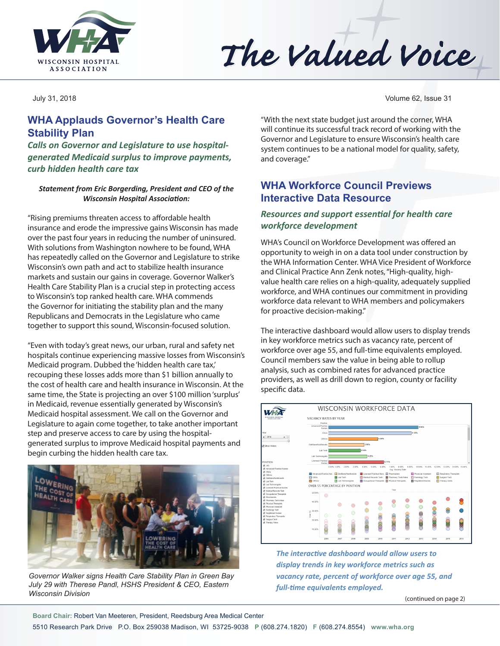

# The Valued Voice

## **WHA Applauds Governor's Health Care Stability Plan**

*Calls on Governor and Legislature to use hospitalgenerated Medicaid surplus to improve payments, curb hidden health care tax*

#### *Statement from Eric Borgerding, President and CEO of the Wisconsin Hospital Association:*

"Rising premiums threaten access to affordable health insurance and erode the impressive gains Wisconsin has made over the past four years in reducing the number of uninsured. With solutions from Washington nowhere to be found, WHA has repeatedly called on the Governor and Legislature to strike Wisconsin's own path and act to stabilize health insurance markets and sustain our gains in coverage. Governor Walker's Health Care Stability Plan is a crucial step in protecting access to Wisconsin's top ranked health care. WHA commends the Governor for initiating the stability plan and the many Republicans and Democrats in the Legislature who came together to support this sound, Wisconsin-focused solution.

"Even with today's great news, our urban, rural and safety net hospitals continue experiencing massive losses from Wisconsin's Medicaid program. Dubbed the 'hidden health care tax,' recouping these losses adds more than \$1 billion annually to the cost of health care and health insurance in Wisconsin. At the same time, the State is projecting an over \$100 million 'surplus' in Medicaid, revenue essentially generated by Wisconsin's Medicaid hospital assessment. We call on the Governor and Legislature to again come together, to take another important step and preserve access to care by using the hospitalgenerated surplus to improve Medicaid hospital payments and begin curbing the hidden health care tax.



*Governor Walker signs Health Care Stability Plan in Green Bay July 29 with Therese Pandl, HSHS President & CEO, Eastern Wisconsin Division*

July 31, 2018 Volume 62, Issue 31

"With the next state budget just around the corner, WHA will continue its successful track record of working with the Governor and Legislature to ensure Wisconsin's health care system continues to be a national model for quality, safety, and coverage."

## **WHA Workforce Council Previews Interactive Data Resource**

#### *Resources and support essential for health care workforce development*

WHA's Council on Workforce Development was offered an opportunity to weigh in on a data tool under construction by the WHA Information Center. WHA Vice President of Workforce and Clinical Practice Ann Zenk notes, "High-quality, highvalue health care relies on a high-quality, adequately supplied workforce, and WHA continues our commitment in providing workforce data relevant to WHA members and policymakers for proactive decision-making."

The interactive dashboard would allow users to display trends in key workforce metrics such as vacancy rate, percent of workforce over age 55, and full-time equivalents employed. Council members saw the value in being able to rollup analysis, such as combined rates for advanced practice providers, as well as drill down to region, county or facility specific data.



*The interactive dashboard would allow users to display trends in key workforce metrics such as vacancy rate, percent of workforce over age 55, and full-time equivalents employed.* 

(continued on page 2)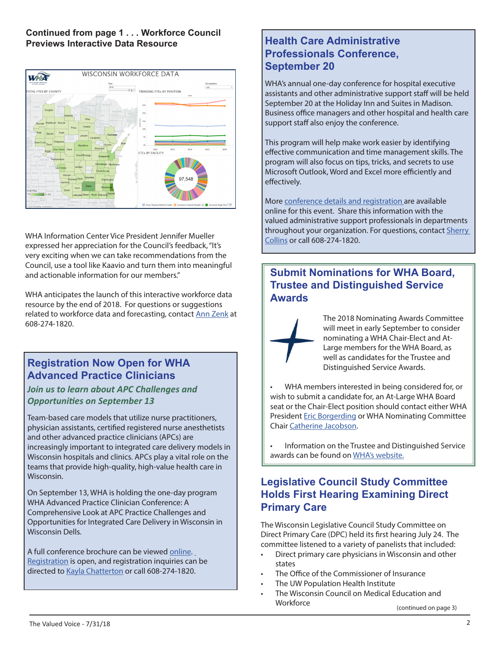#### **Continued from page 1 . . . Workforce Council Previews Interactive Data Resource**



WHA Information Center Vice President Jennifer Mueller expressed her appreciation for the Council's feedback, "It's very exciting when we can take recommendations from the Council, use a tool like Kaavio and turn them into meaningful and actionable information for our members."

WHA anticipates the launch of this interactive workforce data resource by the end of 2018. For questions or suggestions related to workforce data and forecasting, contact [Ann Zenk](mailto:azenk@wha.org) at 608-274-1820.

## **Registration Now Open for WHA Advanced Practice Clinicians**

#### *Join us to learn about APC Challenges and Opportunities on September 13*

Team-based care models that utilize nurse practitioners, physician assistants, certified registered nurse anesthetists and other advanced practice clinicians (APCs) are increasingly important to integrated care delivery models in Wisconsin hospitals and clinics. APCs play a vital role on the teams that provide high-quality, high-value health care in Wisconsin.

On September 13, WHA is holding the one-day program WHA Advanced Practice Clinician Conference: A Comprehensive Look at APC Practice Challenges and Opportunities for Integrated Care Delivery in Wisconsin in Wisconsin Dells.

A full conference brochure can be viewed [online.](http://www.cvent.com/d/hgq74q) R[egistration](http://www.cvent.com/d/hgq74q) is open, and registration inquiries can be directed to [Kayla Chatterton](mailto:kchatterton@wha.org) or call 608-274-1820.

## **Health Care Administrative Professionals Conference, September 20**

WHA's annual one-day conference for hospital executive assistants and other administrative support staff will be held September 20 at the Holiday Inn and Suites in Madison. Business office managers and other hospital and health care support staff also enjoy the conference.

This program will help make work easier by identifying effective communication and time management skills. The program will also focus on tips, tricks, and secrets to use Microsoft Outlook, Word and Excel more efficiently and effectively.

More [conference details and registration a](http://www.cvent.com/d/wgqv0w)re available online for this event. Share this information with the valued administrative support professionals in departments throughout your organization. For questions, contact [Sherry](mailto:scollins@wha.org)  [Collins](mailto:scollins@wha.org) or call 608-274-1820.

## **Submit Nominations for WHA Board, Trustee and Distinguished Service Awards**

The 2018 Nominating Awards Committee will meet in early September to consider nominating a WHA Chair-Elect and At-Large members for the WHA Board, as well as candidates for the Trustee and Distinguished Service Awards.

• WHA members interested in being considered for, or wish to submit a candidate for, an At-Large WHA Board seat or the Chair-Elect position should contact either WHA President [Eric Borgerding](mailto:eborgerding@wha.org) or WHA Nominating Committee Chair [Catherine Jacobson.](mailto:cathy.jacobson@froedtert.com)

• Information on the Trustee and Distinguished Service awards can be found on [WHA's website.](http://www.wha.org/award-program-information.aspx)

## **Legislative Council Study Committee Holds First Hearing Examining Direct Primary Care**

The Wisconsin Legislative Council Study Committee on Direct Primary Care (DPC) held its first hearing July 24. The committee listened to a variety of panelists that included:

- Direct primary care physicians in Wisconsin and other states
- The Office of the Commissioner of Insurance
- The UW Population Health Institute
- The Wisconsin Council on Medical Education and **Workforce**

(continued on page 3)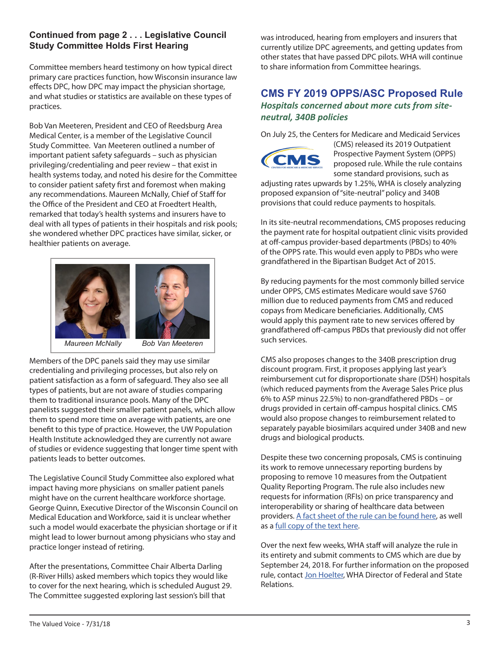#### **Continued from page 2 . . . Legislative Council Study Committee Holds First Hearing**

Committee members heard testimony on how typical direct primary care practices function, how Wisconsin insurance law effects DPC, how DPC may impact the physician shortage, and what studies or statistics are available on these types of practices.

Bob Van Meeteren, President and CEO of Reedsburg Area Medical Center, is a member of the Legislative Council Study Committee. Van Meeteren outlined a number of important patient safety safeguards – such as physician privileging/credentialing and peer review – that exist in health systems today, and noted his desire for the Committee to consider patient safety first and foremost when making any recommendations. Maureen McNally, Chief of Staff for the Office of the President and CEO at Froedtert Health, remarked that today's health systems and insurers have to deal with all types of patients in their hospitals and risk pools; she wondered whether DPC practices have similar, sicker, or healthier patients on average.



Members of the DPC panels said they may use similar credentialing and privileging processes, but also rely on patient satisfaction as a form of safeguard. They also see all types of patients, but are not aware of studies comparing them to traditional insurance pools. Many of the DPC panelists suggested their smaller patient panels, which allow them to spend more time on average with patients, are one benefit to this type of practice. However, the UW Population Health Institute acknowledged they are currently not aware of studies or evidence suggesting that longer time spent with patients leads to better outcomes.

The Legislative Council Study Committee also explored what impact having more physicians on smaller patient panels might have on the current healthcare workforce shortage. George Quinn, Executive Director of the Wisconsin Council on Medical Education and Workforce, said it is unclear whether such a model would exacerbate the physician shortage or if it might lead to lower burnout among physicians who stay and practice longer instead of retiring.

After the presentations, Committee Chair Alberta Darling (R-River Hills) asked members which topics they would like to cover for the next hearing, which is scheduled August 29. The Committee suggested exploring last session's bill that

was introduced, hearing from employers and insurers that currently utilize DPC agreements, and getting updates from other states that have passed DPC pilots. WHA will continue to share information from Committee hearings.

#### **CMS FY 2019 OPPS/ASC Proposed Rule** *Hospitals concerned about more cuts from siteneutral, 340B policies*

On July 25, the Centers for Medicare and Medicaid Services



(CMS) released its 2019 Outpatient Prospective Payment System (OPPS) proposed rule. While the rule contains some standard provisions, such as

adjusting rates upwards by 1.25%, WHA is closely analyzing proposed expansion of "site-neutral" policy and 340B provisions that could reduce payments to hospitals.

In its site-neutral recommendations, CMS proposes reducing the payment rate for hospital outpatient clinic visits provided at off-campus provider-based departments (PBDs) to 40% of the OPPS rate. This would even apply to PBDs who were grandfathered in the Bipartisan Budget Act of 2015.

By reducing payments for the most commonly billed service under OPPS, CMS estimates Medicare would save \$760 million due to reduced payments from CMS and reduced copays from Medicare beneficiaries. Additionally, CMS would apply this payment rate to new services offered by grandfathered off-campus PBDs that previously did not offer such services.

CMS also proposes changes to the 340B prescription drug discount program. First, it proposes applying last year's reimbursement cut for disproportionate share (DSH) hospitals (which reduced payments from the Average Sales Price plus 6% to ASP minus 22.5%) to non-grandfathered PBDs – or drugs provided in certain off-campus hospital clinics. CMS would also propose changes to reimbursement related to separately payable biosimilars acquired under 340B and new drugs and biological products.

Despite these two concerning proposals, CMS is continuing its work to remove unnecessary reporting burdens by proposing to remove 10 measures from the Outpatient Quality Reporting Program. The rule also includes new requests for information (RFIs) on price transparency and interoperability or sharing of healthcare data between providers. [A fact sheet of the rule can be found here](https://www.cms.gov/Newsroom/MediaReleaseDatabase/Fact-sheets/2018-Fact-sheets-items/2018-07-25.html), as well as a [full copy of the text here.](https://s3.amazonaws.com/public-inspection.federalregister.gov/2018-15958.pdf)

Over the next few weeks, WHA staff will analyze the rule in its entirety and submit comments to CMS which are due by September 24, 2018. For further information on the proposed rule, contact [Jon Hoelter,](mailto:jhoelter@wha.org) WHA Director of Federal and State Relations.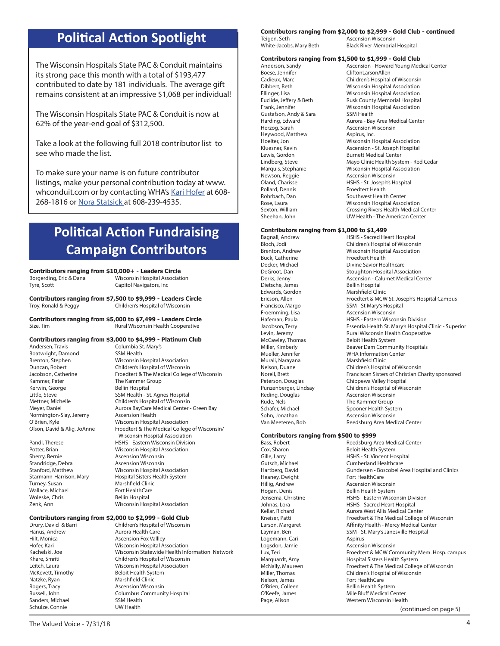# **Political Action Spotlight**

The Wisconsin Hospitals State PAC & Conduit maintains its strong pace this month with a total of \$193,477 contributed to date by 181 individuals. The average gift remains consistent at an impressive \$1,068 per individual!

The Wisconsin Hospitals State PAC & Conduit is now at 62% of the year-end goal of \$312,500.

Take a look at the following full 2018 contributor list to see who made the list.

To make sure your name is on future contributor listings, make your personal contribution today at www. whconduit.com or by contacting WHA's [Kari Hofer](mailto:khofer@wha.org) at 608-268-1816 or [Nora Statsick](mailto:nstatsick@wha.org) at 608-239-4535.

# **Political Action Fundraising Campaign Contributors**

Columbia St. Mary's<br>SSM Health

**Contributors ranging from \$10,000+ - Leaders Circle Wisconsin Hospital Association** 

Tyre, Scott Capitol Navigators, Inc.

**Contributors ranging from \$7,500 to \$9,999 - Leaders Circle**<br>Troy, Ronald & Peggy **Children's Hospital of Wisconsin** Children's Hospital of Wisconsin

**Contributors ranging from \$5,000 to \$7,499 - Leaders Circle** Size, Tim **Rural Wisconsin Health Cooperative** 

## **Contributors ranging from \$3,000 to \$4,999 - Platinum Club**

Boatwright, Damond<br>Brenton, Stephen Kammer, Peter The Kammer Group Kerwin, George **Bellin Hospital**<br>
Little. Steve **Bellin Hospital** Normington-Slay, Jeremy Ascension Health

Sherry, Bernie **Ascension Wisconsin**<br>Standridge. Debra **Ascension Wisconsin** Standridge, Debra Turney, Susan Marshfield Clinic Wallace, Michael **Fort HealthCare**<br>
Woleske, Chris<br>
Rellin Hospital Zenk, Ann Wisconsin Hospital Association

**Wisconsin Hospital Association** Duncan, Robert Children's Hospital of Wisconsin Jacobson, Catherine Froedtert & The Medical College of Wisconsin SSM Health - St. Agnes Hospital Mettner, Michelle Children's Hospital of Wisconsin Meyer, Daniel **Aurora BayCare Medical Center - Green Bay** O'Brien, Kyle **Wisconsin Hospital Association**<br>Olson, David & Alig, JoAnne Froedtert & The Medical College Froedtert & The Medical College of Wisconsin/ Wisconsin Hospital Association Pandl, Therese **HSHS** - Eastern Wisconsin Division Potter, Brian Wisconsin Hospital Association Stanford, Matthew Wisconsin Hospital Association Starmann-Harrison, Mary Hospital Sisters Health System **Bellin Hospital** 

# **Contributors ranging from \$2,000 to \$2,999 - Gold Club**

Drury, David & Barri **Children's Hospital of Wisconsin**<br>
Hanus, Andrew **Aurora Health Care** Hanus, Andrew **Aurora Health Care**<br>
Hilt, Monica **Mateur Aurora Ascension Fox Vallle** Ascension Fox Vallley Hofer, Kari North Wisconsin Hospital Association<br>Kachelski, Joe North Wisconsin Statewide Health Info Wisconsin Statewide Health Information Network Khare, Smriti **Children's Hospital of Wisconsin**<br>
Leitch, Laura **Children's Wisconsin Hospital Association** Leitch, Laura **Misconsin Hospital Association**<br>
McKevett, Timothy Beloit Health System Beloit Health System Natzke, Ryan Marshfield Clinic Rogers, Tracy **Ascension Wisconsin** Russell, John Columbus Community Hospital Sanders, Michael Schulze, Connie UW Health

### **Contributors ranging from \$2,000 to \$2,999 - Gold Club - continued**

| Teigen, Seth            | <b>Ascension Wisconsin</b>           |
|-------------------------|--------------------------------------|
| White-Jacobs, Mary Beth | <b>Black River Memorial Hospital</b> |
|                         |                                      |

## **Contributors ranging from \$1,500 to \$1,999 - Gold Club**

Boese, Jennifer **CliftonLarsonAllen**<br>Cadieux, Marc **Children's Hospital** Gustafson, Andy & Sara SSM Health<br>Harding, Edward Stare Stare Aurora - Bay Herzog, Sarah **Ascension Wisconsin** Heywood, Matthew **Aspirus**, Inc. Newson, Reggie **Ascension Wisconsin**<br>
Oland, Charisse **Ascension HSHS** - St. Joseph's H Pollard, Dennis Froedtert Health<br>Rohrbach, Dan Froedtert Health

Anderson, Sandy **Ascension - Howard Young Medical Center**<br>
Roese, Jennifer **And CliftonLarsonAllen** Cadieux, Marc **Children's Hospital of Wisconsin**<br>Children's Hospital Association Wisconsin Hospital Association Ellinger, Lisa Wisconsin Hospital Association Euclide, Jeffery & Beth Rusk County Memorial Hospital<br>Frank. Jennifer **Rusk County Misconsin Hospital Association** Wisconsin Hospital Association Aurora - Bay Area Medical Center Hoelter, Jon **Misconsin Hospital Association**<br>
Kluesner, Kevin **Misconsin Ascension - St. Joseph Hospital** Ascension - St. Joseph Hospital Lewis, Gordon **Burnett Medical Center**<br>
Lindberg, Steve **Burnett Medical Center** Mayo Clinic Health System - Red Cedar Marquis, Stephanie Wisconsin Hospital Association HSHS - St. Joseph's Hospital Southwest Health Center Rose, Laura **Misconsin Hospital Association**<br>
Sexton William **Sexton Crossing Rivers Health Medical** Crossing Rivers Health Medical Center Sheehan, John UW Health - The American Center

## **Contributors ranging from \$1,000 to \$1,499**

Buck, Catherine Froedtert Health Dietsche, James Bellin Hospital Edwards, Gordon Marshfield Clinic McCawley, Thomas **Beloit Health System**<br>Miller, Kimberly **Beaver Dam Community** Murali, Narayana **Marshfield Clinic** Reding, Douglas **Ascension Wisconsin** Rude, Nels **The Kammer Group** Sohn, Jonathan **Ascension Wisconsin**<br>1991 - Van Meeteren, Bob

## **Contributors ranging from \$500 to \$999**<br>Bass. Robert **Reedsburg A**

Heaney, Dwight Fort HealthCare<br>Hillig, Andrew **Fort HealthCare** Logemann, Cari **Aspirus** Nelson, James Fort HealthCare<br>O'Brien, Colleen Fort Health Sys

Bagnall, Andrew Hall Charles Heart Hospital<br>Bloch Jodi Children's Hospital of Wiscons Children's Hospital of Wisconsin Brenton, Andrew Wisconsin Hospital Association Decker, Michael **Divine Savior Healthcare** DeGroot, Dan Stoughton Hospital Association<br>Derks. Jenny Stoughton Ascension - Calumet Medical Ce Ascension - Calumet Medical Center Ericson, Allen Froedtert & MCW St. Joseph's Hospital Campus Francisco, Margo SSM - St Mary's Hospital<br>Froemming, Lisa States Ascension Wisconsin Ascension Wisconsin HSHS - Eastern Wisconsin Division<br>
HSHS - Eastern Wisconsin Division Jacobson, Terry **Essentia Health St. Mary's Hospital Clinic - Superior** Levin, Jeremy **Rural Wisconsin Health Cooperative** Beaver Dam Community Hospitals Mueller, Jennifer WHA Information Center Nelson, Duane Children's Hospital of Wisconsin Norell, Brett Franciscan Sisters of Christian Charity sponsored<br>Peterson, Douglas Feters of Chippewa Valley Hospital Chippewa Valley Hospital Punzenberger, Lindsay Children's Hospital of Wisconsin Schafer, Michael Spooner Health System<br>Sohn, Jonathan Solam Bacension Wisconsin Reedsburg Area Medical Center

(continued on page 5) Bass, Robert **Reedsburg Area Medical Center** Cox, Sharon **Reedsburg Area Medical Center** Cox, Sharon **Beloit Health System**<br>Gille, Larry **Beloit Health System** Gille, Larry **HSHS - St. Vincent Hospital**<br>
Gutsch, Michael **Gutsch, Michael** Cumberland Healthcare Cumberland Healthcare Hartberg, David Gundersen - Boscobel Area Hospital and Clinics Ascension Wisconsin Hogan, Denis **Bellin Health System**<br>
Jensema, Christine **Bellin Health System** HSHS - Eastern Wisconsin Division Johnas, Lora **HSHS** - Sacred Heart Hospital Kellar, Richard **Aurora West Allis Medical Center** Kneiser, Patti **Froedtert & The Medical College of Wisconsin** Larson, Margaret **Affinity Health - Mercy Medical Center** Layman, Ben SSM - St. Mary's Janesville Hospital Logsdon, Jamie **Ascension Wisconsin** Lux, Teri Froedtert & MCW Community Mem. Hosp. campus<br>Marquardt, Amy **Froedtert & Hospital Sisters Health System** Hospital Sisters Health System McNally, Maureen **Froedtert & The Medical College of Wisconsin** Miller, Thomas Children's Hospital of Wisconsin Bellin Health System O'Keefe, James Mile Bluff Medical Center Page, Alison **Western Wisconsin Health**